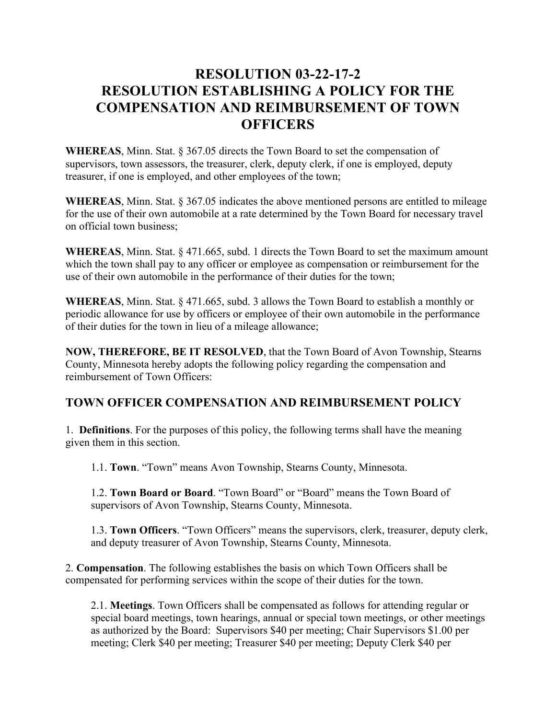## **RESOLUTION 03-22-17-2 RESOLUTION ESTABLISHING A POLICY FOR THE COMPENSATION AND REIMBURSEMENT OF TOWN OFFICERS**

**WHEREAS**, Minn. Stat. § 367.05 directs the Town Board to set the compensation of supervisors, town assessors, the treasurer, clerk, deputy clerk, if one is employed, deputy treasurer, if one is employed, and other employees of the town;

**WHEREAS**, Minn. Stat. § 367.05 indicates the above mentioned persons are entitled to mileage for the use of their own automobile at a rate determined by the Town Board for necessary travel on official town business;

**WHEREAS**, Minn. Stat. § 471.665, subd. 1 directs the Town Board to set the maximum amount which the town shall pay to any officer or employee as compensation or reimbursement for the use of their own automobile in the performance of their duties for the town;

**WHEREAS**, Minn. Stat. § 471.665, subd. 3 allows the Town Board to establish a monthly or periodic allowance for use by officers or employee of their own automobile in the performance of their duties for the town in lieu of a mileage allowance;

**NOW, THEREFORE, BE IT RESOLVED**, that the Town Board of Avon Township, Stearns County, Minnesota hereby adopts the following policy regarding the compensation and reimbursement of Town Officers:

## **TOWN OFFICER COMPENSATION AND REIMBURSEMENT POLICY**

1. **Definitions**. For the purposes of this policy, the following terms shall have the meaning given them in this section.

1.1. **Town**. "Town" means Avon Township, Stearns County, Minnesota.

1.2. **Town Board or Board**. "Town Board" or "Board" means the Town Board of supervisors of Avon Township, Stearns County, Minnesota.

1.3. **Town Officers**. "Town Officers" means the supervisors, clerk, treasurer, deputy clerk, and deputy treasurer of Avon Township, Stearns County, Minnesota.

2. **Compensation**. The following establishes the basis on which Town Officers shall be compensated for performing services within the scope of their duties for the town.

2.1. **Meetings**. Town Officers shall be compensated as follows for attending regular or special board meetings, town hearings, annual or special town meetings, or other meetings as authorized by the Board: Supervisors \$40 per meeting; Chair Supervisors \$1.00 per meeting; Clerk \$40 per meeting; Treasurer \$40 per meeting; Deputy Clerk \$40 per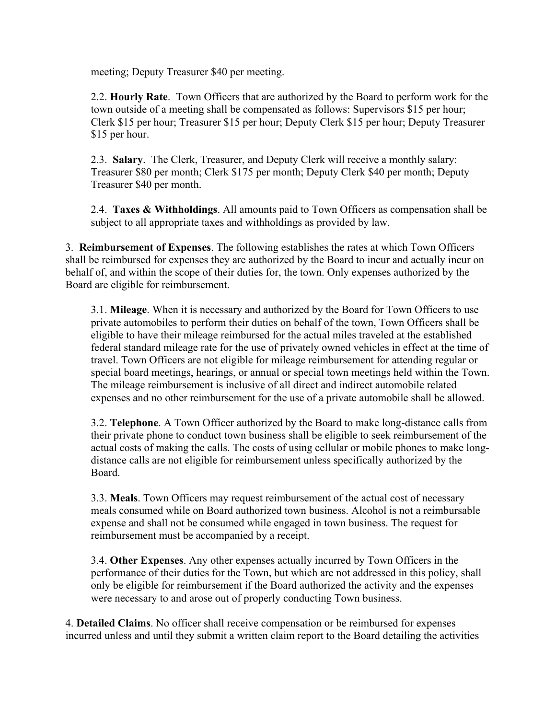meeting; Deputy Treasurer \$40 per meeting.

2.2. **Hourly Rate**. Town Officers that are authorized by the Board to perform work for the town outside of a meeting shall be compensated as follows: Supervisors \$15 per hour; Clerk \$15 per hour; Treasurer \$15 per hour; Deputy Clerk \$15 per hour; Deputy Treasurer \$15 per hour.

2.3. **Salary**. The Clerk, Treasurer, and Deputy Clerk will receive a monthly salary: Treasurer \$80 per month; Clerk \$175 per month; Deputy Clerk \$40 per month; Deputy Treasurer \$40 per month.

2.4. **Taxes & Withholdings**. All amounts paid to Town Officers as compensation shall be subject to all appropriate taxes and withholdings as provided by law.

3. **R**e**imbursement of Expenses**. The following establishes the rates at which Town Officers shall be reimbursed for expenses they are authorized by the Board to incur and actually incur on behalf of, and within the scope of their duties for, the town. Only expenses authorized by the Board are eligible for reimbursement.

3.1. **Mileage**. When it is necessary and authorized by the Board for Town Officers to use private automobiles to perform their duties on behalf of the town, Town Officers shall be eligible to have their mileage reimbursed for the actual miles traveled at the established federal standard mileage rate for the use of privately owned vehicles in effect at the time of travel. Town Officers are not eligible for mileage reimbursement for attending regular or special board meetings, hearings, or annual or special town meetings held within the Town. The mileage reimbursement is inclusive of all direct and indirect automobile related expenses and no other reimbursement for the use of a private automobile shall be allowed.

3.2. **Telephone**. A Town Officer authorized by the Board to make long-distance calls from their private phone to conduct town business shall be eligible to seek reimbursement of the actual costs of making the calls. The costs of using cellular or mobile phones to make longdistance calls are not eligible for reimbursement unless specifically authorized by the Board.

3.3. **Meals**. Town Officers may request reimbursement of the actual cost of necessary meals consumed while on Board authorized town business. Alcohol is not a reimbursable expense and shall not be consumed while engaged in town business. The request for reimbursement must be accompanied by a receipt.

3.4. **Other Expenses**. Any other expenses actually incurred by Town Officers in the performance of their duties for the Town, but which are not addressed in this policy, shall only be eligible for reimbursement if the Board authorized the activity and the expenses were necessary to and arose out of properly conducting Town business.

4. **Detailed Claims**. No officer shall receive compensation or be reimbursed for expenses incurred unless and until they submit a written claim report to the Board detailing the activities